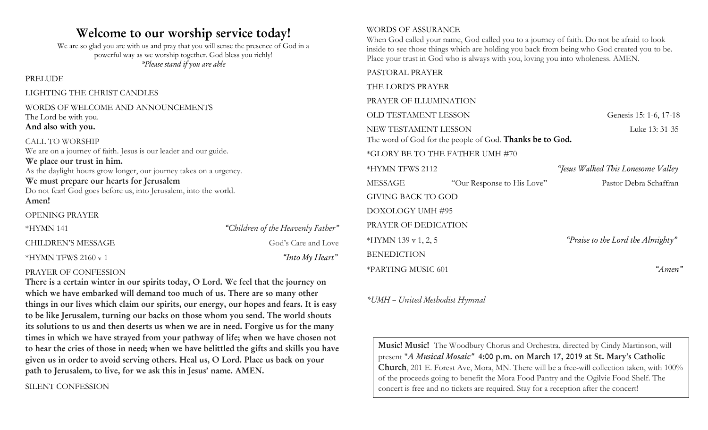## **Welcome to our worship service today!**

We are so glad you are with us and pray that you will sense the presence of God in a powerful way as we worship together. God bless you richly! *\*Please stand if you are able*

PRELUDE

LIGHTING THE CHRIST CANDLES

#### WORDS OF WELCOME AND ANNOUNCEMENTS The Lord be with you. **And also with you.**

CALL TO WORSHIP We are on a journey of faith. Jesus is our leader and our guide. **We place our trust in him.** As the daylight hours grow longer, our journey takes on a urgency. **We must prepare our hearts for Jerusalem** Do not fear! God goes before us, into Jerusalem, into the world. **Amen!**

OPENING PRAYER \*HYMN 141 *"Children of the Heavenly Father"* CHILDREN'S MESSAGE God's Care and Love \*HYMN TFWS 2160 v 1 *"Into My Heart"*

#### PRAYER OF CONFESSION

**There is a certain winter in our spirits today, O Lord. We feel that the journey on which we have embarked will demand too much of us. There are so many other things in our lives which claim our spirits, our energy, our hopes and fears. It is easy to be like Jerusalem, turning our backs on those whom you send. The world shouts its solutions to us and then deserts us when we are in need. Forgive us for the many times in which we have strayed from your pathway of life; when we have chosen not to hear the cries of those in need; when we have belittled the gifts and skills you have given us in order to avoid serving others. Heal us, O Lord. Place us back on your path to Jerusalem, to live, for we ask this in Jesus' name. AMEN.**

#### SILENT CONFESSION

#### WORDS OF ASSURANCE

When God called your name, God called you to a journey of faith. Do not be afraid to look inside to see those things which are holding you back from being who God created you to be. Place your trust in God who is always with you, loving you into wholeness. AMEN.

## PASTORAL PRAYER THE LORD'S PRAYER PRAYER OF ILLUMINATION OLD TESTAMENT LESSON Genesis 15: 1-6, 17-18 NEW TESTAMENT LESSON Luke 13: 31-35 The word of God for the people of God. **Thanks be to God.** \*GLORY BE TO THE FATHER UMH #70 \*HYMN TFWS 2112 *"Jesus Walked This Lonesome Valley* MESSAGE "Our Response to His Love" Pastor Debra Schaffran GIVING BACK TO GOD DOXOLOGY UMH #95 PRAYER OF DEDICATION \*HYMN 139 v 1, 2, 5 *"Praise to the Lord the Almighty"* BENEDICTION \*PARTING MUSIC 601 *"Amen"*

*\*UMH – United Methodist Hymnal*

**Music! Music!** The Woodbury Chorus and Orchestra, directed by Cindy Martinson, will present "*A Musical Mosaic"* **4:00 p.m. on March 17, 2019 at St. Mary's Catholic Church**, 201 E. Forest Ave, Mora, MN. There will be a free-will collection taken, with 100% of the proceeds going to benefit the Mora Food Pantry and the Ogilvie Food Shelf. The concert is free and no tickets are required. Stay for a reception after the concert!